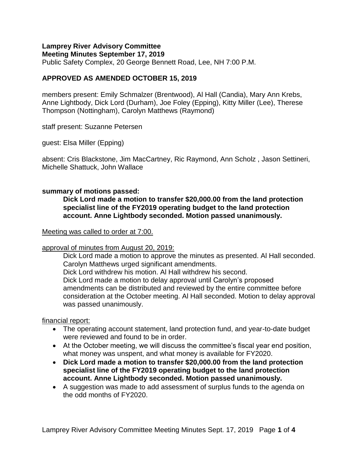# **Lamprey River Advisory Committee**

**Meeting Minutes September 17, 2019** Public Safety Complex, 20 George Bennett Road, Lee, NH 7:00 P.M.

## **APPROVED AS AMENDED OCTOBER 15, 2019**

members present: Emily Schmalzer (Brentwood), Al Hall (Candia), Mary Ann Krebs, Anne Lightbody, Dick Lord (Durham), Joe Foley (Epping), Kitty Miller (Lee), Therese Thompson (Nottingham), Carolyn Matthews (Raymond)

staff present: Suzanne Petersen

guest: Elsa Miller (Epping)

absent: Cris Blackstone, Jim MacCartney, Ric Raymond, Ann Scholz , Jason Settineri, Michelle Shattuck, John Wallace

## **summary of motions passed:**

**Dick Lord made a motion to transfer \$20,000.00 from the land protection specialist line of the FY2019 operating budget to the land protection account. Anne Lightbody seconded. Motion passed unanimously.**

## Meeting was called to order at 7:00.

## approval of minutes from August 20, 2019:

Dick Lord made a motion to approve the minutes as presented. Al Hall seconded. Carolyn Matthews urged significant amendments. Dick Lord withdrew his motion. Al Hall withdrew his second. Dick Lord made a motion to delay approval until Carolyn's proposed amendments can be distributed and reviewed by the entire committee before consideration at the October meeting. Al Hall seconded. Motion to delay approval was passed unanimously.

## financial report:

- The operating account statement, land protection fund, and year-to-date budget were reviewed and found to be in order.
- At the October meeting, we will discuss the committee's fiscal year end position, what money was unspent, and what money is available for FY2020.
- **Dick Lord made a motion to transfer \$20,000.00 from the land protection specialist line of the FY2019 operating budget to the land protection account. Anne Lightbody seconded. Motion passed unanimously.**
- A suggestion was made to add assessment of surplus funds to the agenda on the odd months of FY2020.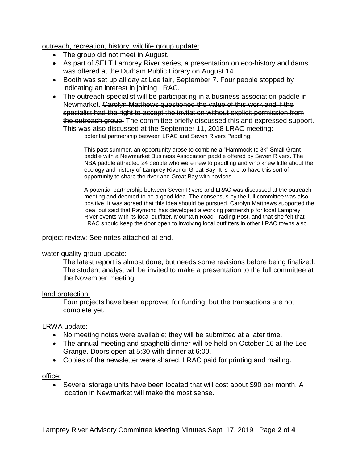outreach, recreation, history, wildlife group update:

- The group did not meet in August.
- As part of SELT Lamprey River series, a presentation on eco-history and dams was offered at the Durham Public Library on August 14.
- Booth was set up all day at Lee fair, September 7. Four people stopped by indicating an interest in joining LRAC.
- The outreach specialist will be participating in a business association paddle in Newmarket. Carolyn Matthews questioned the value of this work and if the specialist had the right to accept the invitation without explicit permission from the outreach group. The committee briefly discussed this and expressed support. This was also discussed at the September 11, 2018 LRAC meeting: potential partnership between LRAC and Seven Rivers Paddling:

This past summer, an opportunity arose to combine a "Hammock to 3k" Small Grant paddle with a Newmarket Business Association paddle offered by Seven Rivers. The NBA paddle attracted 24 people who were new to paddling and who knew little about the ecology and history of Lamprey River or Great Bay. It is rare to have this sort of opportunity to share the river and Great Bay with novices.

A potential partnership between Seven Rivers and LRAC was discussed at the outreach meeting and deemed to be a good idea. The consensus by the full committee was also positive. It was agreed that this idea should be pursued. Carolyn Matthews supported the idea, but said that Raymond has developed a working partnership for local Lamprey River events with its local outfitter, Mountain Road Trading Post, and that she felt that LRAC should keep the door open to involving local outfitters in other LRAC towns also.

project review: See notes attached at end.

## water quality group update:

The latest report is almost done, but needs some revisions before being finalized. The student analyst will be invited to make a presentation to the full committee at the November meeting.

## land protection:

Four projects have been approved for funding, but the transactions are not complete yet.

## LRWA update:

- No meeting notes were available; they will be submitted at a later time.
- The annual meeting and spaghetti dinner will be held on October 16 at the Lee Grange. Doors open at 5:30 with dinner at 6:00.
- Copies of the newsletter were shared. LRAC paid for printing and mailing.

## office:

 Several storage units have been located that will cost about \$90 per month. A location in Newmarket will make the most sense.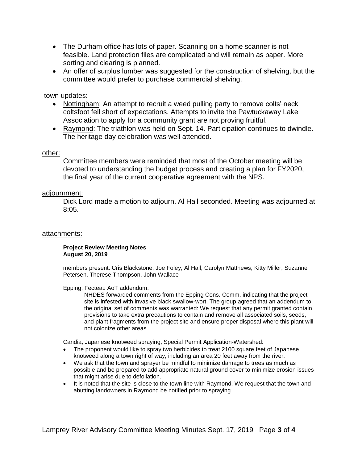- The Durham office has lots of paper. Scanning on a home scanner is not feasible. Land protection files are complicated and will remain as paper. More sorting and clearing is planned.
- An offer of surplus lumber was suggested for the construction of shelving, but the committee would prefer to purchase commercial shelving.

## town updates:

- Nottingham: An attempt to recruit a weed pulling party to remove colts neck coltsfoot fell short of expectations. Attempts to invite the Pawtuckaway Lake Association to apply for a community grant are not proving fruitful.
- Raymond: The triathlon was held on Sept. 14. Participation continues to dwindle. The heritage day celebration was well attended.

### other:

Committee members were reminded that most of the October meeting will be devoted to understanding the budget process and creating a plan for FY2020, the final year of the current cooperative agreement with the NPS.

### adjournment:

Dick Lord made a motion to adjourn. Al Hall seconded. Meeting was adjourned at 8:05.

#### attachments:

#### **Project Review Meeting Notes August 20, 2019**

members present: Cris Blackstone, Joe Foley, Al Hall, Carolyn Matthews, Kitty Miller, Suzanne Petersen, Therese Thompson, John Wallace

#### Epping, Fecteau AoT addendum:

NHDES forwarded comments from the Epping Cons. Comm. indicating that the project site is infested with invasive black swallow-wort. The group agreed that an addendum to the original set of comments was warranted: We request that any permit granted contain provisions to take extra precautions to contain and remove all associated soils, seeds, and plant fragments from the project site and ensure proper disposal where this plant will not colonize other areas.

Candia, Japanese knotweed spraying, Special Permit Application-Watershed:

- The proponent would like to spray two herbicides to treat 2100 square feet of Japanese knotweed along a town right of way, including an area 20 feet away from the river.
- We ask that the town and sprayer be mindful to minimize damage to trees as much as possible and be prepared to add appropriate natural ground cover to minimize erosion issues that might arise due to defoliation.
- It is noted that the site is close to the town line with Raymond. We request that the town and abutting landowners in Raymond be notified prior to spraying.